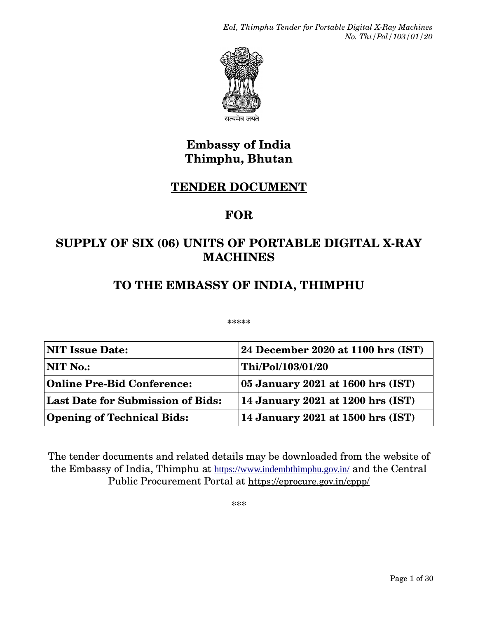*EoI, Thimphu Tender for Portable Digital X-Ray Machines No. Thi/Pol/103/01/20*



सत्यमेव जयते

# **Embassy of India Thimphu, Bhutan**

# **TENDER DOCUMENT**

# **FOR**

# **SUPPLY OF SIX (06) UNITS OF PORTABLE DIGITAL X-RAY MACHINES**

# **TO THE EMBASSY OF INDIA, THIMPHU**

**\*\*\*\*\***

| <b>NIT Issue Date:</b>            | $ 24$ December 2020 at 1100 hrs (IST)                                       |
|-----------------------------------|-----------------------------------------------------------------------------|
| $\bf NIT\ No.$                    | Thi/Pol/103/01/20                                                           |
| <b>Online Pre-Bid Conference:</b> | $\vert 05 \text{ January } 2021 \text{ at } 1600 \text{ hrs } (\text{IST})$ |
| Last Date for Submission of Bids: | 14 January 2021 at 1200 hrs $(IST)$                                         |
| <b>Opening of Technical Bids:</b> | 14 January 2021 at 1500 hrs $(IST)$                                         |

The tender documents and related details may be downloaded from the website of the Embassy of India, Thimphu at https://www.indembthimphu.gov.in/ and the Central Public Procurement Portal at <https://eprocure.gov.in/cppp/>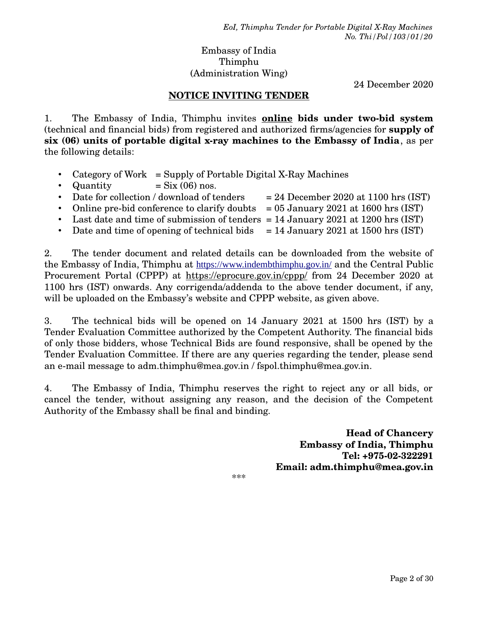### Embassy of India Thimphu (Administration Wing)

24 December 2020

### **NOTICE INVITING TENDER**

1. The Embassy of India, Thimphu invites **online bids under two-bid system** (technical and financial bids) from registered and authorized firms/agencies for **supply of six (06) units of portable digital x-ray machines to the Embassy of India**, as per the following details:

- Category of Work = Supply of Portable Digital X-Ray Machines
- Quantity  $= Six(06)$  nos.
- Date for collection / download of tenders  $= 24$  December 2020 at 1100 hrs (IST)
- Online pre-bid conference to clarify doubts  $= 05$  January 2021 at 1600 hrs (IST)
- Last date and time of submission of tenders = 14 January 2021 at 1200 hrs (IST)
- Date and time of opening of technical bids  $= 14$  January 2021 at 1500 hrs (IST)

2. The tender document and related details can be downloaded from the website of the Embassy of India, Thimphu at https://www.indembthimphu.gov.in/ and the Central Public Procurement Portal (CPPP) at <https://eprocure.gov.in/cppp/>from 24 December 2020 at 1100 hrs (IST) onwards. Any corrigenda/addenda to the above tender document, if any, will be uploaded on the Embassy's website and CPPP website, as given above.

3. The technical bids will be opened on 14 January 2021 at 1500 hrs (IST) by a Tender Evaluation Committee authorized by the Competent Authority. The financial bids of only those bidders, whose Technical Bids are found responsive, shall be opened by the Tender Evaluation Committee. If there are any queries regarding the tender, please send an e-mail message to adm.thimphu@mea.gov.in / fspol.thimphu@mea.gov.in.

4. The Embassy of India, Thimphu reserves the right to reject any or all bids, or cancel the tender, without assigning any reason, and the decision of the Competent Authority of the Embassy shall be final and binding.

> **Head of Chancery Embassy of India, Thimphu Tel: +975-02-322291 Email: adm.thimphu@mea.gov.in**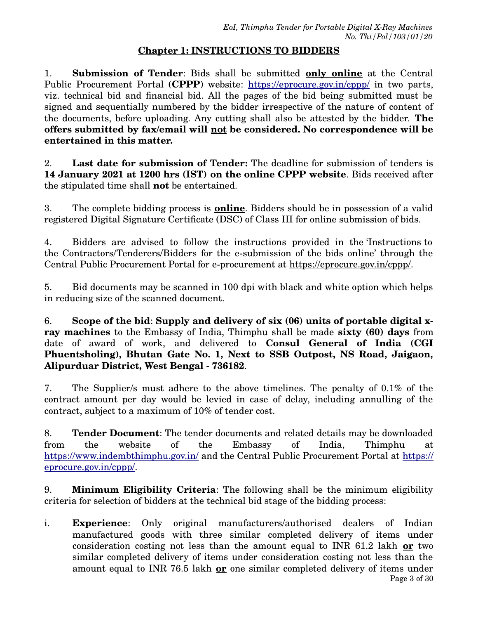## **Chapter 1: INSTRUCTIONS TO BIDDERS**

1. **Submission of Tender**: Bids shall be submitted **only online** at the Central Public Procurement Portal (CPPP) website: <https://eprocure.gov.in/cppp/> in two parts, viz. technical bid and financial bid. All the pages of the bid being submitted must be signed and sequentially numbered by the bidder irrespective of the nature of content of the documents, before uploading. Any cutting shall also be attested by the bidder. **The offers submitted by fax/email will not be considered. No correspondence will be entertained in this matter.**

2. **Last date for submission of Tender:** The deadline for submission of tenders is **14 January 2021 at 1200 hrs (IST) on the online CPPP website**. Bids received after the stipulated time shall **not** be entertained.

3. The complete bidding process is **online**. Bidders should be in possession of a valid registered Digital Signature Certificate (DSC) of Class III for online submission of bids.

4. Bidders are advised to follow the instructions provided in the 'Instructions to the Contractors/Tenderers/Bidders for the e-submission of the bids online' through the Central Public Procurement Portal for e-procurement at <https://eprocure.gov.in/cppp/>.

5. Bid documents may be scanned in 100 dpi with black and white option which helps in reducing size of the scanned document.

6. **Scope of the bid**: **Supply and delivery of six (06) units of portable digital xray machines** to the Embassy of India, Thimphu shall be made **sixty (60) days** from date of award of work, and delivered to **Consul General of India (CGI Phuentsholing), Bhutan Gate No. 1, Next to SSB Outpost, NS Road, Jaigaon, Alipurduar District, West Bengal - 736182**.

7. The Supplier/s must adhere to the above timelines. The penalty of 0.1% of the contract amount per day would be levied in case of delay, including annulling of the contract, subject to a maximum of 10% of tender cost.

8. **Tender Document**: The tender documents and related details may be downloaded from the website of the Embassy of India, Thimphu at [https://](https://eprocure.gov.in/cppp/)www.indembthimphu.gov.in/ and the Central Public Procurement Portal at https:// [eprocure.gov.in/cppp/.](https://eprocure.gov.in/cppp/)

9. **Minimum Eligibility Criteria**: The following shall be the minimum eligibility criteria for selection of bidders at the technical bid stage of the bidding process:

i. **Experience**: Only original manufacturers/authorised dealers of Indian manufactured goods with three similar completed delivery of items under consideration costing not less than the amount equal to INR 61.2 lakh **or** two similar completed delivery of items under consideration costing not less than the amount equal to INR 76.5 lakh **or** one similar completed delivery of items under Page 3 of 30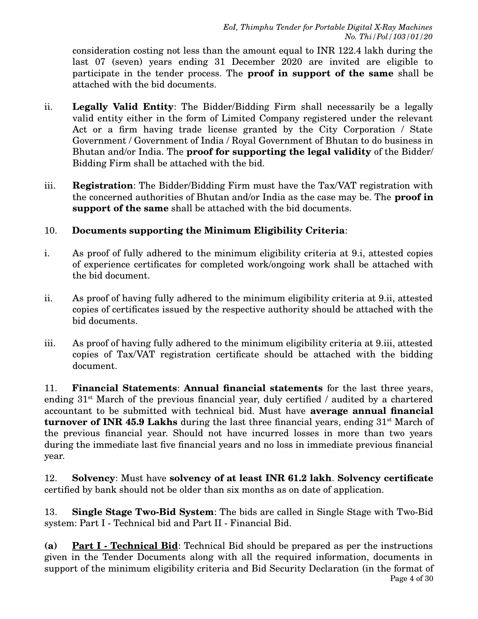consideration costing not less than the amount equal to INR 122.4 lakh during the last 07 (seven) years ending 31 December 2020 are invited are eligible to participate in the tender process. The **proof in support of the same** shall be attached with the bid documents.

- ii. **Legally Valid Entity**: The Bidder/Bidding Firm shall necessarily be a legally valid entity either in the form of Limited Company registered under the relevant Act or a firm having trade license granted by the City Corporation / State Government / Government of India / Royal Government of Bhutan to do business in Bhutan and/or India. The **proof for supporting the legal validity** of the Bidder/ Bidding Firm shall be attached with the bid.
- iii. **Registration**: The Bidder/Bidding Firm must have the Tax/VAT registration with the concerned authorities of Bhutan and/or India as the case may be. The **proof in support of the same** shall be attached with the bid documents.

# 10. **Documents supporting the Minimum Eligibility Criteria**:

- i. As proof of fully adhered to the minimum eligibility criteria at 9.i, attested copies of experience certificates for completed work/ongoing work shall be attached with the bid document.
- ii. As proof of having fully adhered to the minimum eligibility criteria at 9.ii, attested copies of certificates issued by the respective authority should be attached with the bid documents.
- iii. As proof of having fully adhered to the minimum eligibility criteria at 9.iii, attested copies of Tax/VAT registration certificate should be attached with the bidding document.

11. **Financial Statements**: **Annual financial statements** for the last three years, ending  $31<sup>st</sup>$  March of the previous financial year, duly certified / audited by a chartered accountant to be submitted with technical bid. Must have **average annual financial turnover of INR 45.9 Lakhs** during the last three financial years, ending 31<sup>st</sup> March of the previous financial year. Should not have incurred losses in more than two years during the immediate last five financial years and no loss in immediate previous financial year.

12. **Solvency**: Must have **solvency of at least INR 61.2 lakh**. **Solvency certificate** certified by bank should not be older than six months as on date of application.

13. **Single Stage Two-Bid System**: The bids are called in Single Stage with Two-Bid system: Part I - Technical bid and Part II - Financial Bid.

**(a) Part I - Technical Bid**: Technical Bid should be prepared as per the instructions given in the Tender Documents along with all the required information, documents in support of the minimum eligibility criteria and Bid Security Declaration (in the format of Page 4 of 30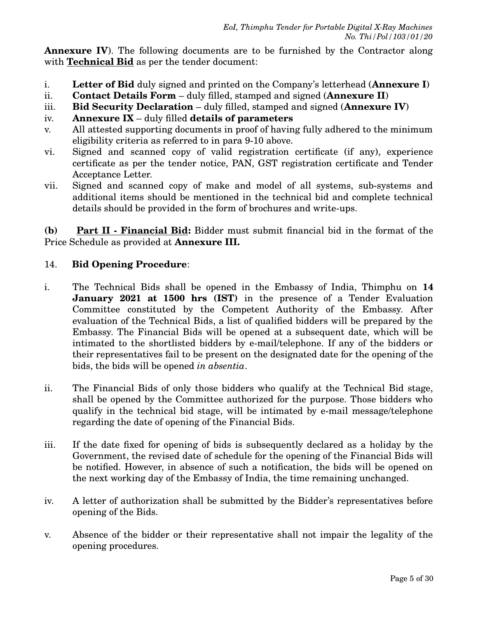**Annexure IV**). The following documents are to be furnished by the Contractor along with **Technical Bid** as per the tender document:

- i. **Letter of Bid** duly signed and printed on the Company's letterhead (**Annexure I**)
- ii. **Contact Details Form** duly filled, stamped and signed (**Annexure II**)
- iii. **Bid Security Declaration** duly filled, stamped and signed (**Annexure IV**)
- iv. **Annexure IX** duly filled **details of parameters**
- v. All attested supporting documents in proof of having fully adhered to the minimum eligibility criteria as referred to in para 9-10 above.
- vi. Signed and scanned copy of valid registration certificate (if any), experience certificate as per the tender notice, PAN, GST registration certificate and Tender Acceptance Letter.
- vii. Signed and scanned copy of make and model of all systems, sub-systems and additional items should be mentioned in the technical bid and complete technical details should be provided in the form of brochures and write-ups.

**(b) Part II - Financial Bid:** Bidder must submit financial bid in the format of the Price Schedule as provided at **Annexure III.**

# 14. **Bid Opening Procedure**:

- i. The Technical Bids shall be opened in the Embassy of India, Thimphu on **14 January 2021 at 1500 hrs (IST)** in the presence of a Tender Evaluation Committee constituted by the Competent Authority of the Embassy. After evaluation of the Technical Bids, a list of qualified bidders will be prepared by the Embassy. The Financial Bids will be opened at a subsequent date, which will be intimated to the shortlisted bidders by e-mail/telephone. If any of the bidders or their representatives fail to be present on the designated date for the opening of the bids, the bids will be opened *in absentia*.
- ii. The Financial Bids of only those bidders who qualify at the Technical Bid stage, shall be opened by the Committee authorized for the purpose. Those bidders who qualify in the technical bid stage, will be intimated by e-mail message/telephone regarding the date of opening of the Financial Bids.
- iii. If the date fixed for opening of bids is subsequently declared as a holiday by the Government, the revised date of schedule for the opening of the Financial Bids will be notified. However, in absence of such a notification, the bids will be opened on the next working day of the Embassy of India, the time remaining unchanged.
- iv. A letter of authorization shall be submitted by the Bidder's representatives before opening of the Bids.
- v. Absence of the bidder or their representative shall not impair the legality of the opening procedures.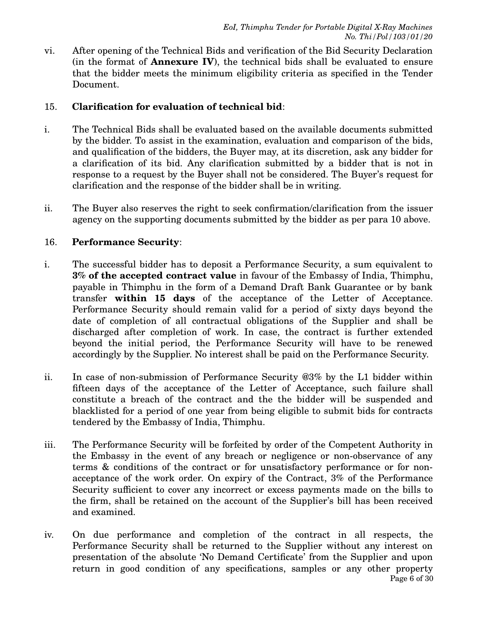vi. After opening of the Technical Bids and verification of the Bid Security Declaration (in the format of **Annexure IV**), the technical bids shall be evaluated to ensure that the bidder meets the minimum eligibility criteria as specified in the Tender Document.

# 15. **Clarification for evaluation of technical bid**:

- i. The Technical Bids shall be evaluated based on the available documents submitted by the bidder. To assist in the examination, evaluation and comparison of the bids, and qualification of the bidders, the Buyer may, at its discretion, ask any bidder for a clarification of its bid. Any clarification submitted by a bidder that is not in response to a request by the Buyer shall not be considered. The Buyer's request for clarification and the response of the bidder shall be in writing.
- ii. The Buyer also reserves the right to seek confirmation/clarification from the issuer agency on the supporting documents submitted by the bidder as per para 10 above.

# 16. **Performance Security**:

- i. The successful bidder has to deposit a Performance Security, a sum equivalent to **3% of the accepted contract value** in favour of the Embassy of India, Thimphu, payable in Thimphu in the form of a Demand Draft Bank Guarantee or by bank transfer **within 15 days** of the acceptance of the Letter of Acceptance. Performance Security should remain valid for a period of sixty days beyond the date of completion of all contractual obligations of the Supplier and shall be discharged after completion of work. In case, the contract is further extended beyond the initial period, the Performance Security will have to be renewed accordingly by the Supplier. No interest shall be paid on the Performance Security.
- ii. In case of non-submission of Performance Security @3% by the L1 bidder within fifteen days of the acceptance of the Letter of Acceptance, such failure shall constitute a breach of the contract and the the bidder will be suspended and blacklisted for a period of one year from being eligible to submit bids for contracts tendered by the Embassy of India, Thimphu.
- iii. The Performance Security will be forfeited by order of the Competent Authority in the Embassy in the event of any breach or negligence or non-observance of any terms & conditions of the contract or for unsatisfactory performance or for nonacceptance of the work order. On expiry of the Contract, 3% of the Performance Security sufficient to cover any incorrect or excess payments made on the bills to the firm, shall be retained on the account of the Supplier's bill has been received and examined.
- iv. On due performance and completion of the contract in all respects, the Performance Security shall be returned to the Supplier without any interest on presentation of the absolute 'No Demand Certificate' from the Supplier and upon return in good condition of any specifications, samples or any other property Page 6 of 30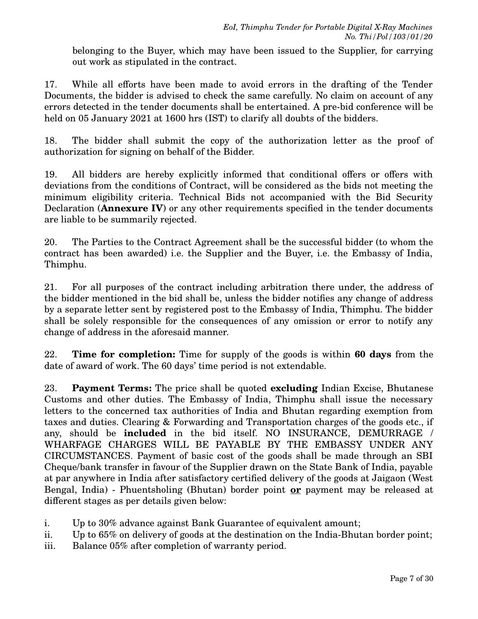belonging to the Buyer, which may have been issued to the Supplier, for carrying out work as stipulated in the contract.

17. While all efforts have been made to avoid errors in the drafting of the Tender Documents, the bidder is advised to check the same carefully. No claim on account of any errors detected in the tender documents shall be entertained. A pre-bid conference will be held on 05 January 2021 at 1600 hrs (IST) to clarify all doubts of the bidders.

18. The bidder shall submit the copy of the authorization letter as the proof of authorization for signing on behalf of the Bidder.

19. All bidders are hereby explicitly informed that conditional offers or offers with deviations from the conditions of Contract, will be considered as the bids not meeting the minimum eligibility criteria. Technical Bids not accompanied with the Bid Security Declaration (**Annexure IV**) or any other requirements specified in the tender documents are liable to be summarily rejected.

20. The Parties to the Contract Agreement shall be the successful bidder (to whom the contract has been awarded) i.e. the Supplier and the Buyer, i.e. the Embassy of India, Thimphu.

21. For all purposes of the contract including arbitration there under, the address of the bidder mentioned in the bid shall be, unless the bidder notifies any change of address by a separate letter sent by registered post to the Embassy of India, Thimphu. The bidder shall be solely responsible for the consequences of any omission or error to notify any change of address in the aforesaid manner.

22. **Time for completion:** Time for supply of the goods is within **60 days** from the date of award of work. The 60 days' time period is not extendable.

23. **Payment Terms:** The price shall be quoted **excluding** Indian Excise, Bhutanese Customs and other duties. The Embassy of India, Thimphu shall issue the necessary letters to the concerned tax authorities of India and Bhutan regarding exemption from taxes and duties. Clearing & Forwarding and Transportation charges of the goods etc., if any, should be **included** in the bid itself. NO INSURANCE, DEMURRAGE / WHARFAGE CHARGES WILL BE PAYABLE BY THE EMBASSY UNDER ANY CIRCUMSTANCES. Payment of basic cost of the goods shall be made through an SBI Cheque/bank transfer in favour of the Supplier drawn on the State Bank of India, payable at par anywhere in India after satisfactory certified delivery of the goods at Jaigaon (West Bengal, India) - Phuentsholing (Bhutan) border point **or** payment may be released at different stages as per details given below:

- i. Up to 30% advance against Bank Guarantee of equivalent amount;
- ii. Up to 65% on delivery of goods at the destination on the India-Bhutan border point;
- iii. Balance 05% after completion of warranty period.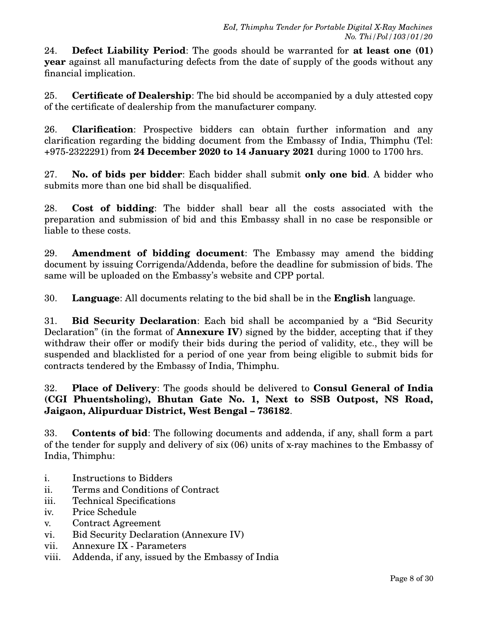24. **Defect Liability Period**: The goods should be warranted for **at least one (01) year** against all manufacturing defects from the date of supply of the goods without any financial implication.

25. **Certificate of Dealership**: The bid should be accompanied by a duly attested copy of the certificate of dealership from the manufacturer company.

26. **Clarification**: Prospective bidders can obtain further information and any clarification regarding the bidding document from the Embassy of India, Thimphu (Tel: +975-2322291) from **24 December 2020 to 14 January 2021** during 1000 to 1700 hrs.

27. **No. of bids per bidder**: Each bidder shall submit **only one bid**. A bidder who submits more than one bid shall be disqualified.

28. **Cost of bidding**: The bidder shall bear all the costs associated with the preparation and submission of bid and this Embassy shall in no case be responsible or liable to these costs.

29. **Amendment of bidding document**: The Embassy may amend the bidding document by issuing Corrigenda/Addenda, before the deadline for submission of bids. The same will be uploaded on the Embassy's website and CPP portal.

30. **Language**: All documents relating to the bid shall be in the **English** language.

31. **Bid Security Declaration**: Each bid shall be accompanied by a "Bid Security Declaration" (in the format of **Annexure IV**) signed by the bidder, accepting that if they withdraw their offer or modify their bids during the period of validity, etc., they will be suspended and blacklisted for a period of one year from being eligible to submit bids for contracts tendered by the Embassy of India, Thimphu.

# 32. **Place of Delivery**: The goods should be delivered to **Consul General of India (CGI Phuentsholing), Bhutan Gate No. 1, Next to SSB Outpost, NS Road, Jaigaon, Alipurduar District, West Bengal – 736182**.

33. **Contents of bid**: The following documents and addenda, if any, shall form a part of the tender for supply and delivery of six (06) units of x-ray machines to the Embassy of India, Thimphu:

- i. Instructions to Bidders
- ii. Terms and Conditions of Contract
- iii. Technical Specifications
- iv. Price Schedule
- v. Contract Agreement
- vi. Bid Security Declaration (Annexure IV)
- vii. Annexure IX Parameters
- viii. Addenda, if any, issued by the Embassy of India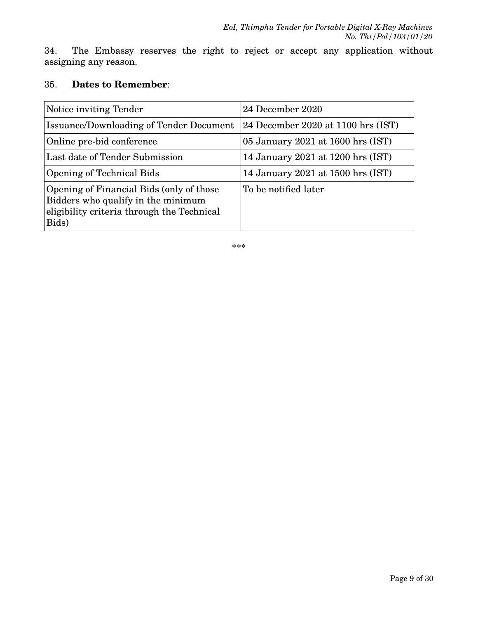34. The Embassy reserves the right to reject or accept any application without assigning any reason.

### 35. **Dates to Remember**:

| Notice inviting Tender                                                                                                                | 24 December 2020                   |
|---------------------------------------------------------------------------------------------------------------------------------------|------------------------------------|
| <b>Issuance/Downloading of Tender Document</b>                                                                                        | 24 December 2020 at 1100 hrs (IST) |
| Online pre-bid conference                                                                                                             | 05 January 2021 at 1600 hrs (IST)  |
| Last date of Tender Submission                                                                                                        | 14 January 2021 at 1200 hrs (IST)  |
| <b>Opening of Technical Bids</b>                                                                                                      | 14 January 2021 at 1500 hrs (IST)  |
| Opening of Financial Bids (only of those<br>Bidders who qualify in the minimum<br>eligibility criteria through the Technical<br>Bids) | To be notified later               |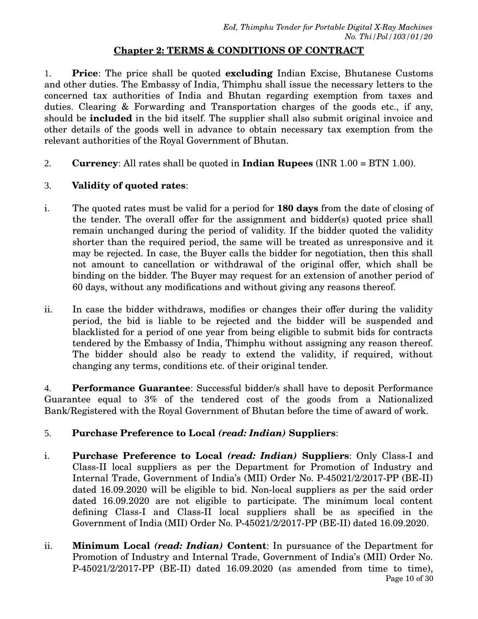# **Chapter 2: TERMS & CONDITIONS OF CONTRACT**

1. **Price**: The price shall be quoted **excluding** Indian Excise, Bhutanese Customs and other duties. The Embassy of India, Thimphu shall issue the necessary letters to the concerned tax authorities of India and Bhutan regarding exemption from taxes and duties. Clearing & Forwarding and Transportation charges of the goods etc., if any, should be **included** in the bid itself. The supplier shall also submit original invoice and other details of the goods well in advance to obtain necessary tax exemption from the relevant authorities of the Royal Government of Bhutan.

2. **Currency**: All rates shall be quoted in **Indian Rupees** (INR 1.00 = BTN 1.00).

# 3. **Validity of quoted rates**:

- i. The quoted rates must be valid for a period for **180 days** from the date of closing of the tender. The overall offer for the assignment and bidder(s) quoted price shall remain unchanged during the period of validity. If the bidder quoted the validity shorter than the required period, the same will be treated as unresponsive and it may be rejected. In case, the Buyer calls the bidder for negotiation, then this shall not amount to cancellation or withdrawal of the original offer, which shall be binding on the bidder. The Buyer may request for an extension of another period of 60 days, without any modifications and without giving any reasons thereof.
- ii. In case the bidder withdraws, modifies or changes their offer during the validity period, the bid is liable to be rejected and the bidder will be suspended and blacklisted for a period of one year from being eligible to submit bids for contracts tendered by the Embassy of India, Thimphu without assigning any reason thereof. The bidder should also be ready to extend the validity, if required, without changing any terms, conditions etc. of their original tender.

4. **Performance Guarantee**: Successful bidder/s shall have to deposit Performance Guarantee equal to 3% of the tendered cost of the goods from a Nationalized Bank/Registered with the Royal Government of Bhutan before the time of award of work.

# 5. **Purchase Preference to Local** *(read: Indian)* **Suppliers**:

- i. **Purchase Preference to Local** *(read: Indian)* **Suppliers**: Only Class-I and Class-II local suppliers as per the Department for Promotion of Industry and Internal Trade, Government of India's (MII) Order No. P-45021/2/2017-PP (BE-II) dated 16.09.2020 will be eligible to bid. Non-local suppliers as per the said order dated 16.09.2020 are not eligible to participate. The minimum local content defining Class-I and Class-II local suppliers shall be as specified in the Government of India (MII) Order No. P-45021/2/2017-PP (BE-II) dated 16.09.2020.
- ii. **Minimum Local** *(read: Indian)* **Content**: In pursuance of the Department for Promotion of Industry and Internal Trade, Government of India's (MII) Order No. P-45021/2/2017-PP (BE-II) dated 16.09.2020 (as amended from time to time), Page 10 of 30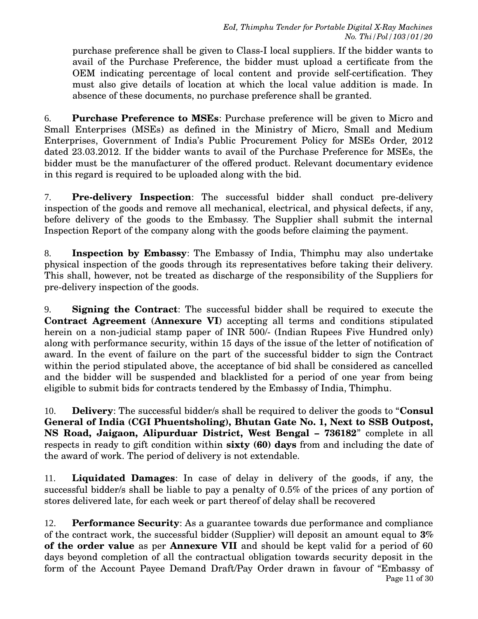purchase preference shall be given to Class-I local suppliers. If the bidder wants to avail of the Purchase Preference, the bidder must upload a certificate from the OEM indicating percentage of local content and provide self-certification. They must also give details of location at which the local value addition is made. In absence of these documents, no purchase preference shall be granted.

6. **Purchase Preference to MSEs**: Purchase preference will be given to Micro and Small Enterprises (MSEs) as defined in the Ministry of Micro, Small and Medium Enterprises, Government of India's Public Procurement Policy for MSEs Order, 2012 dated 23.03.2012. If the bidder wants to avail of the Purchase Preference for MSEs, the bidder must be the manufacturer of the offered product. Relevant documentary evidence in this regard is required to be uploaded along with the bid.

7. **Pre-delivery Inspection**: The successful bidder shall conduct pre-delivery inspection of the goods and remove all mechanical, electrical, and physical defects, if any, before delivery of the goods to the Embassy. The Supplier shall submit the internal Inspection Report of the company along with the goods before claiming the payment.

8. **Inspection by Embassy**: The Embassy of India, Thimphu may also undertake physical inspection of the goods through its representatives before taking their delivery. This shall, however, not be treated as discharge of the responsibility of the Suppliers for pre-delivery inspection of the goods.

9. **Signing the Contract**: The successful bidder shall be required to execute the **Contract Agreement** (**Annexure VI**) accepting all terms and conditions stipulated herein on a non-judicial stamp paper of INR 500/- (Indian Rupees Five Hundred only) along with performance security, within 15 days of the issue of the letter of notification of award. In the event of failure on the part of the successful bidder to sign the Contract within the period stipulated above, the acceptance of bid shall be considered as cancelled and the bidder will be suspended and blacklisted for a period of one year from being eligible to submit bids for contracts tendered by the Embassy of India, Thimphu.

10. **Delivery**: The successful bidder/s shall be required to deliver the goods to "**Consul General of India (CGI Phuentsholing), Bhutan Gate No. 1, Next to SSB Outpost, NS Road, Jaigaon, Alipurduar District, West Bengal – 736182**" complete in all respects in ready to gift condition within **sixty (60) days** from and including the date of the award of work. The period of delivery is not extendable.

11. **Liquidated Damages**: In case of delay in delivery of the goods, if any, the successful bidder/s shall be liable to pay a penalty of 0.5% of the prices of any portion of stores delivered late, for each week or part thereof of delay shall be recovered

12. **Performance Security**: As a guarantee towards due performance and compliance of the contract work, the successful bidder (Supplier) will deposit an amount equal to **3% of the order value** as per **Annexure VII** and should be kept valid for a period of 60 days beyond completion of all the contractual obligation towards security deposit in the form of the Account Payee Demand Draft/Pay Order drawn in favour of "Embassy of Page 11 of 30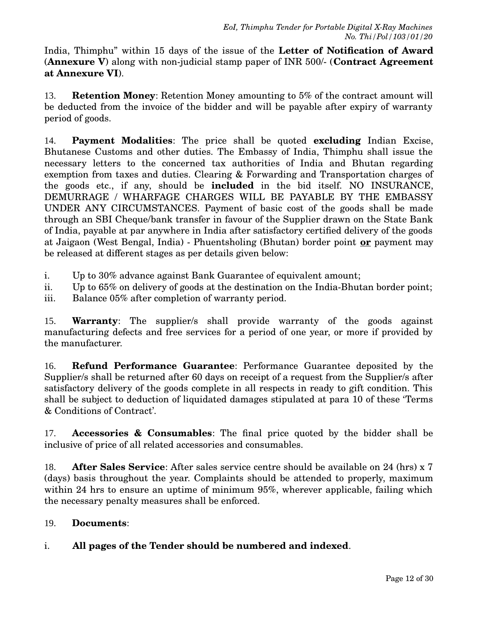India, Thimphu" within 15 days of the issue of the **Letter of Notification of Award** (**Annexure V**) along with non-judicial stamp paper of INR 500/- (**Contract Agreement at Annexure VI**).

13. **Retention Money**: Retention Money amounting to 5% of the contract amount will be deducted from the invoice of the bidder and will be payable after expiry of warranty period of goods.

14. **Payment Modalities**: The price shall be quoted **excluding** Indian Excise, Bhutanese Customs and other duties. The Embassy of India, Thimphu shall issue the necessary letters to the concerned tax authorities of India and Bhutan regarding exemption from taxes and duties. Clearing & Forwarding and Transportation charges of the goods etc., if any, should be **included** in the bid itself. NO INSURANCE, DEMURRAGE / WHARFAGE CHARGES WILL BE PAYABLE BY THE EMBASSY UNDER ANY CIRCUMSTANCES. Payment of basic cost of the goods shall be made through an SBI Cheque/bank transfer in favour of the Supplier drawn on the State Bank of India, payable at par anywhere in India after satisfactory certified delivery of the goods at Jaigaon (West Bengal, India) - Phuentsholing (Bhutan) border point **or** payment may be released at different stages as per details given below:

i. Up to 30% advance against Bank Guarantee of equivalent amount;

ii. Up to 65% on delivery of goods at the destination on the India-Bhutan border point;

iii. Balance 05% after completion of warranty period.

15. **Warranty**: The supplier/s shall provide warranty of the goods against manufacturing defects and free services for a period of one year, or more if provided by the manufacturer.

16. **Refund Performance Guarantee**: Performance Guarantee deposited by the Supplier/s shall be returned after 60 days on receipt of a request from the Supplier/s after satisfactory delivery of the goods complete in all respects in ready to gift condition. This shall be subject to deduction of liquidated damages stipulated at para 10 of these 'Terms & Conditions of Contract'.

17. **Accessories & Consumables**: The final price quoted by the bidder shall be inclusive of price of all related accessories and consumables.

18. **After Sales Service**: After sales service centre should be available on 24 (hrs) x 7 (days) basis throughout the year. Complaints should be attended to properly, maximum within 24 hrs to ensure an uptime of minimum 95%, wherever applicable, failing which the necessary penalty measures shall be enforced.

#### 19. **Documents**:

# i. **All pages of the Tender should be numbered and indexed**.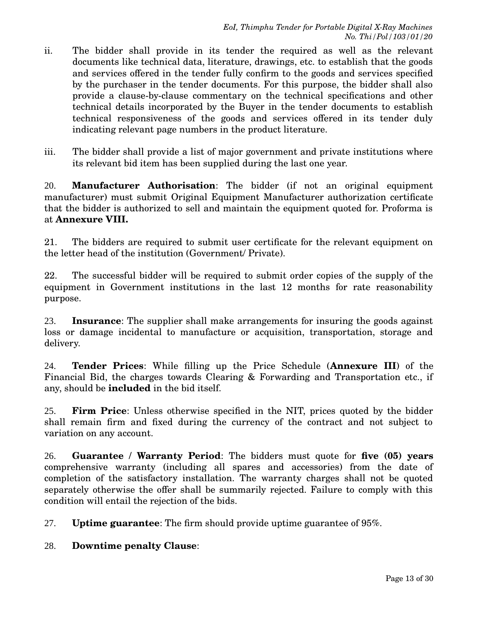- ii. The bidder shall provide in its tender the required as well as the relevant documents like technical data, literature, drawings, etc. to establish that the goods and services offered in the tender fully confirm to the goods and services specified by the purchaser in the tender documents. For this purpose, the bidder shall also provide a clause-by-clause commentary on the technical specifications and other technical details incorporated by the Buyer in the tender documents to establish technical responsiveness of the goods and services offered in its tender duly indicating relevant page numbers in the product literature.
- iii. The bidder shall provide a list of major government and private institutions where its relevant bid item has been supplied during the last one year.

20. **Manufacturer Authorisation**: The bidder (if not an original equipment manufacturer) must submit Original Equipment Manufacturer authorization certificate that the bidder is authorized to sell and maintain the equipment quoted for. Proforma is at **Annexure VIII.**

21. The bidders are required to submit user certificate for the relevant equipment on the letter head of the institution (Government/ Private).

22. The successful bidder will be required to submit order copies of the supply of the equipment in Government institutions in the last 12 months for rate reasonability purpose.

23. **Insurance**: The supplier shall make arrangements for insuring the goods against loss or damage incidental to manufacture or acquisition, transportation, storage and delivery.

24. **Tender Prices**: While filling up the Price Schedule (**Annexure III**) of the Financial Bid, the charges towards Clearing & Forwarding and Transportation etc., if any, should be **included** in the bid itself.

25. **Firm Price**: Unless otherwise specified in the NIT, prices quoted by the bidder shall remain firm and fixed during the currency of the contract and not subject to variation on any account.

26. **Guarantee / Warranty Period**: The bidders must quote for **five (05) years** comprehensive warranty (including all spares and accessories) from the date of completion of the satisfactory installation. The warranty charges shall not be quoted separately otherwise the offer shall be summarily rejected. Failure to comply with this condition will entail the rejection of the bids.

27. **Uptime guarantee**: The firm should provide uptime guarantee of 95%.

28. **Downtime penalty Clause**: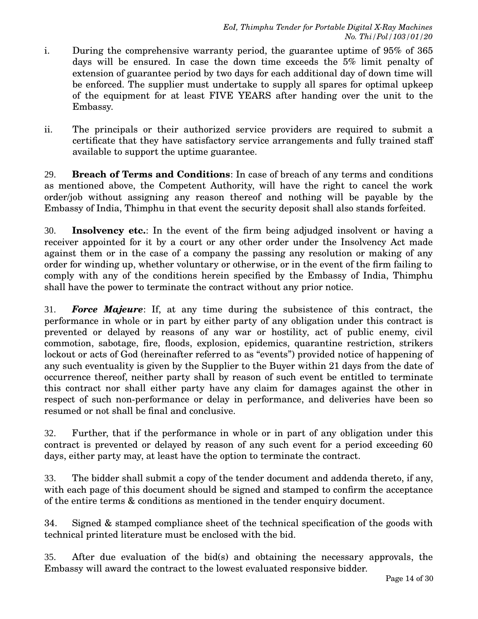- i. During the comprehensive warranty period, the guarantee uptime of 95% of 365 days will be ensured. In case the down time exceeds the 5% limit penalty of extension of guarantee period by two days for each additional day of down time will be enforced. The supplier must undertake to supply all spares for optimal upkeep of the equipment for at least FIVE YEARS after handing over the unit to the Embassy.
- ii. The principals or their authorized service providers are required to submit a certificate that they have satisfactory service arrangements and fully trained staff available to support the uptime guarantee.

29. **Breach of Terms and Conditions**: In case of breach of any terms and conditions as mentioned above, the Competent Authority, will have the right to cancel the work order/job without assigning any reason thereof and nothing will be payable by the Embassy of India, Thimphu in that event the security deposit shall also stands forfeited.

30. **Insolvency etc.**: In the event of the firm being adjudged insolvent or having a receiver appointed for it by a court or any other order under the Insolvency Act made against them or in the case of a company the passing any resolution or making of any order for winding up, whether voluntary or otherwise, or in the event of the firm failing to comply with any of the conditions herein specified by the Embassy of India, Thimphu shall have the power to terminate the contract without any prior notice.

31. *Force Majeure*: If, at any time during the subsistence of this contract, the performance in whole or in part by either party of any obligation under this contract is prevented or delayed by reasons of any war or hostility, act of public enemy, civil commotion, sabotage, fire, floods, explosion, epidemics, quarantine restriction, strikers lockout or acts of God (hereinafter referred to as "events") provided notice of happening of any such eventuality is given by the Supplier to the Buyer within 21 days from the date of occurrence thereof, neither party shall by reason of such event be entitled to terminate this contract nor shall either party have any claim for damages against the other in respect of such non-performance or delay in performance, and deliveries have been so resumed or not shall be final and conclusive.

32. Further, that if the performance in whole or in part of any obligation under this contract is prevented or delayed by reason of any such event for a period exceeding 60 days, either party may, at least have the option to terminate the contract.

33. The bidder shall submit a copy of the tender document and addenda thereto, if any, with each page of this document should be signed and stamped to confirm the acceptance of the entire terms & conditions as mentioned in the tender enquiry document.

34. Signed & stamped compliance sheet of the technical specification of the goods with technical printed literature must be enclosed with the bid.

35. After due evaluation of the bid(s) and obtaining the necessary approvals, the Embassy will award the contract to the lowest evaluated responsive bidder.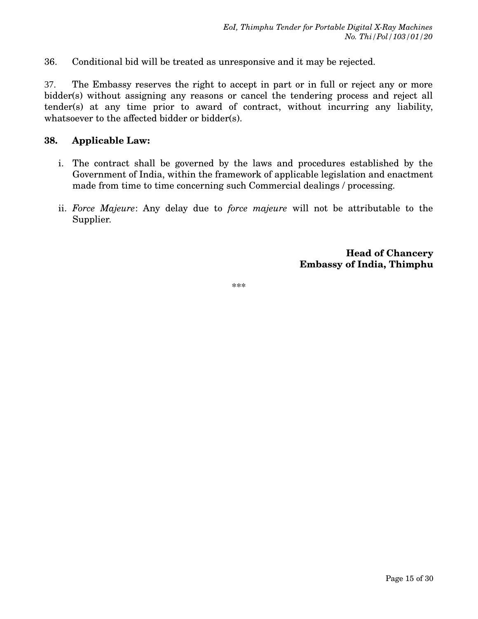36. Conditional bid will be treated as unresponsive and it may be rejected.

37. The Embassy reserves the right to accept in part or in full or reject any or more bidder(s) without assigning any reasons or cancel the tendering process and reject all tender(s) at any time prior to award of contract, without incurring any liability, whatsoever to the affected bidder or bidder(s).

#### **38. Applicable Law:**

- i. The contract shall be governed by the laws and procedures established by the Government of India, within the framework of applicable legislation and enactment made from time to time concerning such Commercial dealings / processing.
- ii. *Force Majeure*: Any delay due to *force majeure* will not be attributable to the Supplier.

**Head of Chancery Embassy of India, Thimphu**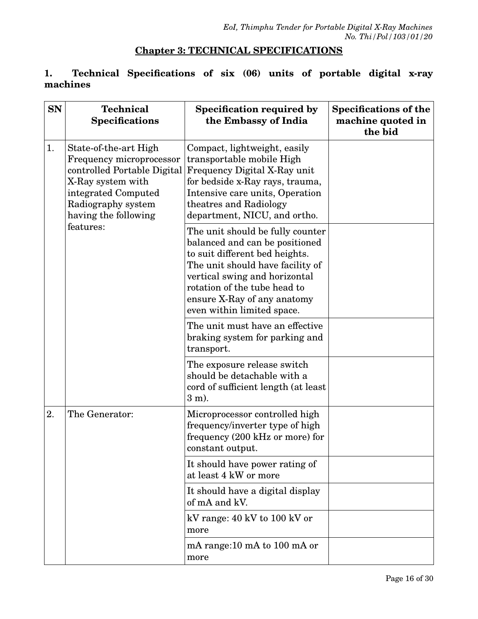# **Chapter 3: TECHNICAL SPECIFICATIONS**

#### **1. Technical Specifications of six (06) units of portable digital x-ray machines**

| <b>SN</b> | <b>Technical</b><br><b>Specifications</b>                                                                                                                                  | Specification required by<br>the Embassy of India                                                                                                                                                                                                                      | <b>Specifications of the</b><br>machine quoted in<br>the bid |
|-----------|----------------------------------------------------------------------------------------------------------------------------------------------------------------------------|------------------------------------------------------------------------------------------------------------------------------------------------------------------------------------------------------------------------------------------------------------------------|--------------------------------------------------------------|
| 1.        | State-of-the-art High<br>Frequency microprocessor<br>controlled Portable Digital<br>X-Ray system with<br>integrated Computed<br>Radiography system<br>having the following | Compact, lightweight, easily<br>transportable mobile High<br>Frequency Digital X-Ray unit<br>for bedside x-Ray rays, trauma,<br>Intensive care units, Operation<br>theatres and Radiology<br>department, NICU, and ortho.                                              |                                                              |
|           | features:                                                                                                                                                                  | The unit should be fully counter<br>balanced and can be positioned<br>to suit different bed heights.<br>The unit should have facility of<br>vertical swing and horizontal<br>rotation of the tube head to<br>ensure X-Ray of any anatomy<br>even within limited space. |                                                              |
|           |                                                                                                                                                                            | The unit must have an effective<br>braking system for parking and<br>transport.                                                                                                                                                                                        |                                                              |
|           |                                                                                                                                                                            | The exposure release switch<br>should be detachable with a<br>cord of sufficient length (at least<br>$3 \text{ m}$ ).                                                                                                                                                  |                                                              |
| 2.        | The Generator:                                                                                                                                                             | Microprocessor controlled high<br>frequency/inverter type of high<br>frequency (200 kHz or more) for<br>constant output.                                                                                                                                               |                                                              |
|           |                                                                                                                                                                            | It should have power rating of<br>at least 4 kW or more                                                                                                                                                                                                                |                                                              |
|           |                                                                                                                                                                            | It should have a digital display<br>of mA and kV.                                                                                                                                                                                                                      |                                                              |
|           |                                                                                                                                                                            | kV range: 40 kV to 100 kV or<br>more                                                                                                                                                                                                                                   |                                                              |
|           |                                                                                                                                                                            | mA range:10 mA to 100 mA or<br>more                                                                                                                                                                                                                                    |                                                              |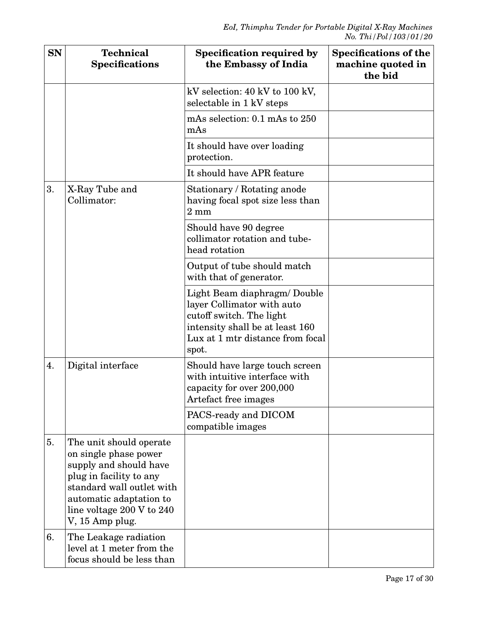| <b>SN</b> | <b>Technical</b><br><b>Specifications</b>                                                                                                                                                                     | Specification required by<br>the Embassy of India                                                                                                                      | <b>Specifications of the</b><br>machine quoted in<br>the bid |
|-----------|---------------------------------------------------------------------------------------------------------------------------------------------------------------------------------------------------------------|------------------------------------------------------------------------------------------------------------------------------------------------------------------------|--------------------------------------------------------------|
|           |                                                                                                                                                                                                               | kV selection: 40 kV to 100 kV,<br>selectable in 1 kV steps                                                                                                             |                                                              |
|           |                                                                                                                                                                                                               | mAs selection: $0.1$ mAs to $250$<br>mAs                                                                                                                               |                                                              |
|           |                                                                                                                                                                                                               | It should have over loading<br>protection.                                                                                                                             |                                                              |
|           |                                                                                                                                                                                                               | It should have APR feature                                                                                                                                             |                                                              |
| 3.        | X-Ray Tube and<br>Collimator:                                                                                                                                                                                 | Stationary / Rotating anode<br>having focal spot size less than<br>$2 \text{ mm}$                                                                                      |                                                              |
|           |                                                                                                                                                                                                               | Should have 90 degree<br>collimator rotation and tube-<br>head rotation                                                                                                |                                                              |
|           |                                                                                                                                                                                                               | Output of tube should match<br>with that of generator.                                                                                                                 |                                                              |
|           |                                                                                                                                                                                                               | Light Beam diaphragm/ Double<br>layer Collimator with auto<br>cutoff switch. The light<br>intensity shall be at least 160<br>Lux at 1 mtr distance from focal<br>spot. |                                                              |
| 4.        | Digital interface                                                                                                                                                                                             | Should have large touch screen<br>with intuitive interface with<br>capacity for over 200,000<br>Artefact free images                                                   |                                                              |
|           |                                                                                                                                                                                                               | PACS-ready and DICOM<br>compatible images                                                                                                                              |                                                              |
| 5.        | The unit should operate<br>on single phase power<br>supply and should have<br>plug in facility to any<br>standard wall outlet with<br>automatic adaptation to<br>line voltage 200 V to 240<br>V, 15 Amp plug. |                                                                                                                                                                        |                                                              |
| 6.        | The Leakage radiation<br>level at 1 meter from the<br>focus should be less than                                                                                                                               |                                                                                                                                                                        |                                                              |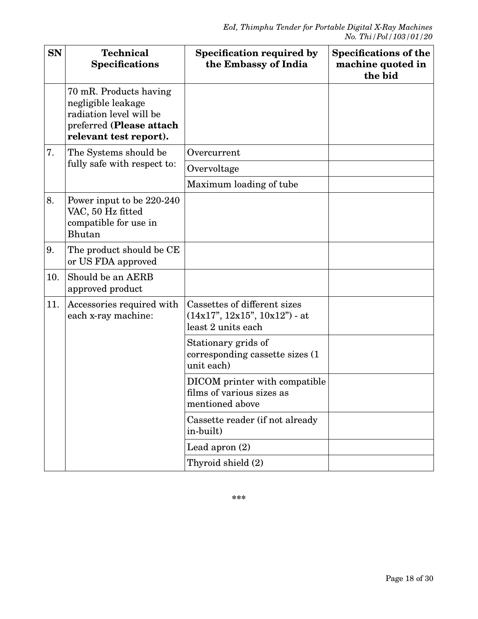| <b>SN</b> | <b>Technical</b><br><b>Specifications</b>                                                                                     | Specification required by<br>the Embassy of India                                     | <b>Specifications of the</b><br>machine quoted in<br>the bid |
|-----------|-------------------------------------------------------------------------------------------------------------------------------|---------------------------------------------------------------------------------------|--------------------------------------------------------------|
|           | 70 mR. Products having<br>negligible leakage<br>radiation level will be<br>preferred (Please attach<br>relevant test report). |                                                                                       |                                                              |
| 7.        | The Systems should be                                                                                                         | Overcurrent                                                                           |                                                              |
|           | fully safe with respect to:                                                                                                   | Overvoltage                                                                           |                                                              |
|           |                                                                                                                               | Maximum loading of tube                                                               |                                                              |
| 8.        | Power input to be 220-240<br>VAC, 50 Hz fitted<br>compatible for use in<br>Bhutan                                             |                                                                                       |                                                              |
| 9.        | The product should be CE<br>or US FDA approved                                                                                |                                                                                       |                                                              |
| 10.       | Should be an AERB<br>approved product                                                                                         |                                                                                       |                                                              |
| 11.       | Accessories required with<br>each x-ray machine:                                                                              | Cassettes of different sizes<br>$(14x17", 12x15", 10x12")$ - at<br>least 2 units each |                                                              |
|           |                                                                                                                               | Stationary grids of<br>corresponding cassette sizes (1)<br>unit each)                 |                                                              |
|           |                                                                                                                               | DICOM printer with compatible<br>films of various sizes as<br>mentioned above         |                                                              |
|           |                                                                                                                               | Cassette reader (if not already<br>in-built)                                          |                                                              |
|           |                                                                                                                               | Lead apron $(2)$                                                                      |                                                              |
|           |                                                                                                                               | Thyroid shield (2)                                                                    |                                                              |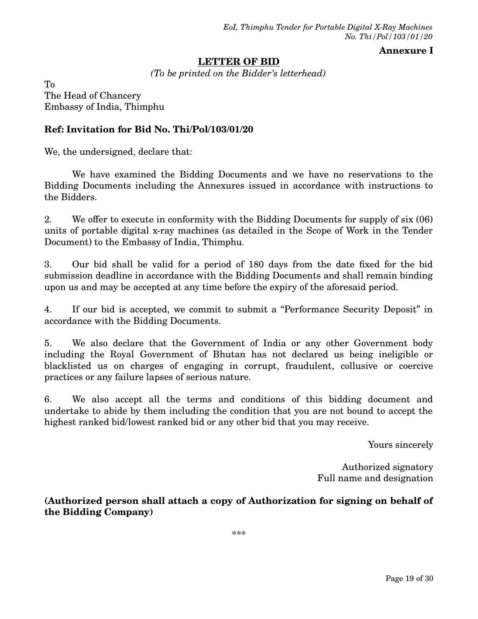#### **Annexure I**

#### **LETTER OF BID**

*(To be printed on the Bidder's letterhead)*

To The Head of Chancery Embassy of India, Thimphu

#### **Ref: Invitation for Bid No. Thi/Pol/103/01/20**

We, the undersigned, declare that:

We have examined the Bidding Documents and we have no reservations to the Bidding Documents including the Annexures issued in accordance with instructions to the Bidders.

2. We offer to execute in conformity with the Bidding Documents for supply of six (06) units of portable digital x-ray machines (as detailed in the Scope of Work in the Tender Document) to the Embassy of India, Thimphu.

3. Our bid shall be valid for a period of 180 days from the date fixed for the bid submission deadline in accordance with the Bidding Documents and shall remain binding upon us and may be accepted at any time before the expiry of the aforesaid period.

4. If our bid is accepted, we commit to submit a "Performance Security Deposit" in accordance with the Bidding Documents.

5. We also declare that the Government of India or any other Government body including the Royal Government of Bhutan has not declared us being ineligible or blacklisted us on charges of engaging in corrupt, fraudulent, collusive or coercive practices or any failure lapses of serious nature.

6. We also accept all the terms and conditions of this bidding document and undertake to abide by them including the condition that you are not bound to accept the highest ranked bid/lowest ranked bid or any other bid that you may receive.

Yours sincerely

Authorized signatory Full name and designation

**(Authorized person shall attach a copy of Authorization for signing on behalf of the Bidding Company)**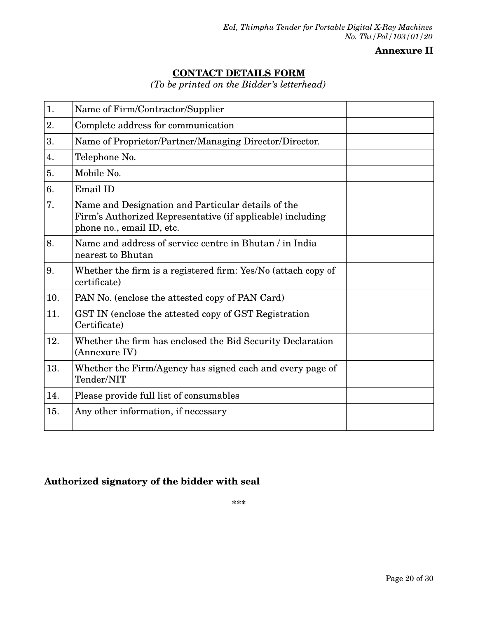#### **Annexure II**

# **CONTACT DETAILS FORM**

*(To be printed on the Bidder's letterhead)*

| 1.  | Name of Firm/Contractor/Supplier                                                                                                              |
|-----|-----------------------------------------------------------------------------------------------------------------------------------------------|
| 2.  | Complete address for communication                                                                                                            |
| 3.  | Name of Proprietor/Partner/Managing Director/Director.                                                                                        |
| 4.  | Telephone No.                                                                                                                                 |
| 5.  | Mobile No.                                                                                                                                    |
| 6.  | Email ID                                                                                                                                      |
| 7.  | Name and Designation and Particular details of the<br>Firm's Authorized Representative (if applicable) including<br>phone no., email ID, etc. |
| 8.  | Name and address of service centre in Bhutan / in India<br>nearest to Bhutan                                                                  |
| 9.  | Whether the firm is a registered firm: Yes/No (attach copy of<br>certificate)                                                                 |
| 10. | PAN No. (enclose the attested copy of PAN Card)                                                                                               |
| 11. | GST IN (enclose the attested copy of GST Registration<br>Certificate)                                                                         |
| 12. | Whether the firm has enclosed the Bid Security Declaration<br>(Annexure IV)                                                                   |
| 13. | Whether the Firm/Agency has signed each and every page of<br>Tender/NIT                                                                       |
| 14. | Please provide full list of consumables                                                                                                       |
| 15. | Any other information, if necessary                                                                                                           |

### **Authorized signatory of the bidder with seal**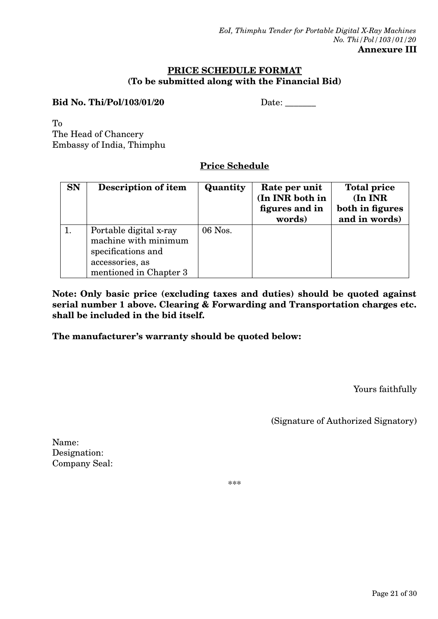#### **PRICE SCHEDULE FORMAT (To be submitted along with the Financial Bid)**

#### **Bid No. Thi/Pol/103/01/20** Date:

To The Head of Chancery Embassy of India, Thimphu

# **Price Schedule**

| <b>SN</b> | Description of item                                                                                               | Quantity | Rate per unit<br>(In INR both in<br>figures and in<br>words) | <b>Total price</b><br>(In INR)<br>both in figures<br>and in words) |
|-----------|-------------------------------------------------------------------------------------------------------------------|----------|--------------------------------------------------------------|--------------------------------------------------------------------|
|           | Portable digital x-ray<br>machine with minimum<br>specifications and<br>accessories, as<br>mentioned in Chapter 3 | 06 Nos.  |                                                              |                                                                    |

**Note: Only basic price (excluding taxes and duties) should be quoted against serial number 1 above. Clearing & Forwarding and Transportation charges etc. shall be included in the bid itself.** 

**The manufacturer's warranty should be quoted below:**

Yours faithfully

(Signature of Authorized Signatory)

Name: Designation: Company Seal: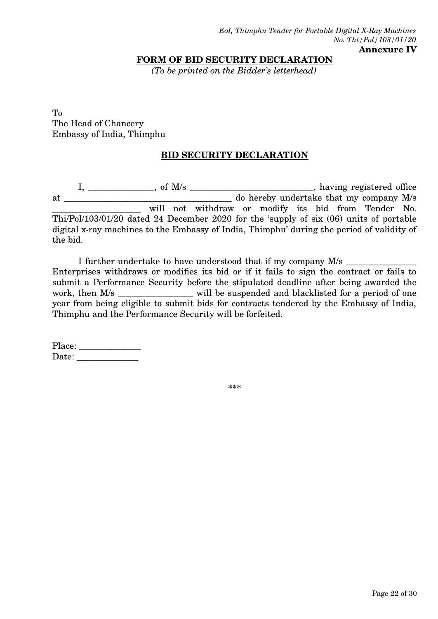**FORM OF BID SECURITY DECLARATION**

*(To be printed on the Bidder's letterhead)*

To The Head of Chancery Embassy of India, Thimphu

#### **BID SECURITY DECLARATION**

I, \_\_\_\_\_\_\_\_\_\_\_\_\_\_\_\_, of M/s \_\_\_\_\_\_\_\_\_\_\_\_\_\_\_\_\_\_\_\_\_\_\_\_\_\_\_\_\_\_\_\_, having registered office at \_\_\_\_\_\_\_\_\_\_\_\_\_\_\_\_\_\_\_\_\_\_\_\_\_\_\_\_\_\_\_\_\_\_\_\_\_\_ do hereby undertake that my company M/s will not withdraw or modify its bid from Tender No. Thi/Pol/103/01/20 dated 24 December 2020 for the 'supply of six (06) units of portable digital x-ray machines to the Embassy of India, Thimphu' during the period of validity of the bid.

I further undertake to have understood that if my company M/s  $\frac{1}{2}$ Enterprises withdraws or modifies its bid or if it fails to sign the contract or fails to submit a Performance Security before the stipulated deadline after being awarded the work, then M/s \_\_\_\_\_\_\_\_\_\_\_\_\_\_\_\_\_ will be suspended and blacklisted for a period of one year from being eligible to submit bids for contracts tendered by the Embassy of India, Thimphu and the Performance Security will be forfeited.

Place: \_\_\_\_\_\_\_\_\_\_\_\_\_\_ Date: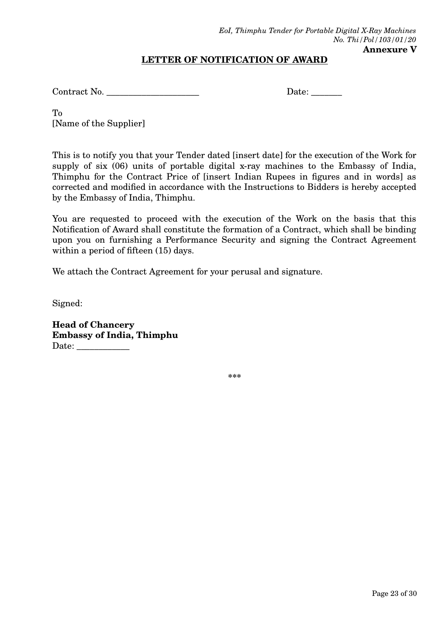## **LETTER OF NOTIFICATION OF AWARD**

Contract No. \_\_\_\_\_\_\_\_\_\_\_\_\_\_\_\_\_\_\_\_\_ Date: \_\_\_\_\_\_\_

To [Name of the Supplier]

This is to notify you that your Tender dated [insert date] for the execution of the Work for supply of six (06) units of portable digital x-ray machines to the Embassy of India, Thimphu for the Contract Price of [insert Indian Rupees in figures and in words] as corrected and modified in accordance with the Instructions to Bidders is hereby accepted by the Embassy of India, Thimphu.

You are requested to proceed with the execution of the Work on the basis that this Notification of Award shall constitute the formation of a Contract, which shall be binding upon you on furnishing a Performance Security and signing the Contract Agreement within a period of fifteen (15) days.

We attach the Contract Agreement for your perusal and signature.

Signed:

**Head of Chancery Embassy of India, Thimphu** Date: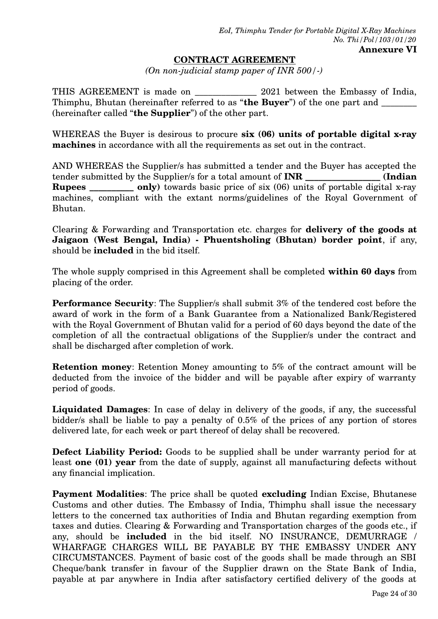#### **CONTRACT AGREEMENT**

*(On non-judicial stamp paper of INR 500/-)*

THIS AGREEMENT is made on \_\_\_\_\_\_\_\_\_\_\_\_\_\_\_\_ 2021 between the Embassy of India, Thimphu, Bhutan (hereinafter referred to as "**the Buyer**") of the one part and \_\_\_\_\_\_\_\_ (hereinafter called "**the Supplier**") of the other part.

WHEREAS the Buyer is desirous to procure **six (06) units of portable digital x-ray machines** in accordance with all the requirements as set out in the contract.

AND WHEREAS the Supplier/s has submitted a tender and the Buyer has accepted the tender submitted by the Supplier/s for a total amount of **INR \_\_\_\_\_\_\_\_\_\_\_\_\_\_\_\_\_ (Indian Rupees** \_\_\_\_\_\_\_\_\_ only) towards basic price of six (06) units of portable digital x-ray machines, compliant with the extant norms/guidelines of the Royal Government of Bhutan.

Clearing & Forwarding and Transportation etc. charges for **delivery of the goods at Jaigaon (West Bengal, India) - Phuentsholing (Bhutan) border point**, if any, should be **included** in the bid itself.

The whole supply comprised in this Agreement shall be completed **within 60 days** from placing of the order.

**Performance Security:** The Supplier's shall submit 3% of the tendered cost before the award of work in the form of a Bank Guarantee from a Nationalized Bank/Registered with the Royal Government of Bhutan valid for a period of 60 days beyond the date of the completion of all the contractual obligations of the Supplier/s under the contract and shall be discharged after completion of work.

**Retention money**: Retention Money amounting to 5% of the contract amount will be deducted from the invoice of the bidder and will be payable after expiry of warranty period of goods.

**Liquidated Damages**: In case of delay in delivery of the goods, if any, the successful bidder/s shall be liable to pay a penalty of 0.5% of the prices of any portion of stores delivered late, for each week or part thereof of delay shall be recovered.

**Defect Liability Period:** Goods to be supplied shall be under warranty period for at least **one (01) year** from the date of supply, against all manufacturing defects without any financial implication.

**Payment Modalities**: The price shall be quoted **excluding** Indian Excise, Bhutanese Customs and other duties. The Embassy of India, Thimphu shall issue the necessary letters to the concerned tax authorities of India and Bhutan regarding exemption from taxes and duties. Clearing & Forwarding and Transportation charges of the goods etc., if any, should be **included** in the bid itself. NO INSURANCE, DEMURRAGE / WHARFAGE CHARGES WILL BE PAYABLE BY THE EMBASSY UNDER ANY CIRCUMSTANCES. Payment of basic cost of the goods shall be made through an SBI Cheque/bank transfer in favour of the Supplier drawn on the State Bank of India, payable at par anywhere in India after satisfactory certified delivery of the goods at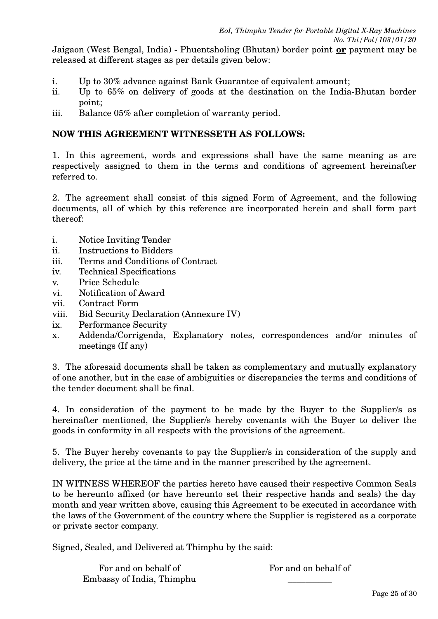Jaigaon (West Bengal, India) - Phuentsholing (Bhutan) border point **or** payment may be released at different stages as per details given below:

- i. Up to 30% advance against Bank Guarantee of equivalent amount;
- ii. Up to 65% on delivery of goods at the destination on the India-Bhutan border point;
- iii. Balance 05% after completion of warranty period.

## **NOW THIS AGREEMENT WITNESSETH AS FOLLOWS:**

1. In this agreement, words and expressions shall have the same meaning as are respectively assigned to them in the terms and conditions of agreement hereinafter referred to.

2. The agreement shall consist of this signed Form of Agreement, and the following documents, all of which by this reference are incorporated herein and shall form part thereof:

- i. Notice Inviting Tender
- ii. Instructions to Bidders
- iii. Terms and Conditions of Contract
- iv. Technical Specifications
- v. Price Schedule
- vi. Notification of Award
- vii. Contract Form
- viii. Bid Security Declaration (Annexure IV)
- ix. Performance Security
- x. Addenda/Corrigenda, Explanatory notes, correspondences and/or minutes of meetings (If any)

3. The aforesaid documents shall be taken as complementary and mutually explanatory of one another, but in the case of ambiguities or discrepancies the terms and conditions of the tender document shall be final.

4. In consideration of the payment to be made by the Buyer to the Supplier/s as hereinafter mentioned, the Supplier/s hereby covenants with the Buyer to deliver the goods in conformity in all respects with the provisions of the agreement.

5. The Buyer hereby covenants to pay the Supplier/s in consideration of the supply and delivery, the price at the time and in the manner prescribed by the agreement.

IN WITNESS WHEREOF the parties hereto have caused their respective Common Seals to be hereunto affixed (or have hereunto set their respective hands and seals) the day month and year written above, causing this Agreement to be executed in accordance with the laws of the Government of the country where the Supplier is registered as a corporate or private sector company.

Signed, Sealed, and Delivered at Thimphu by the said:

For and on behalf of Embassy of India, Thimphu For and on behalf of  $\overline{\phantom{a}}$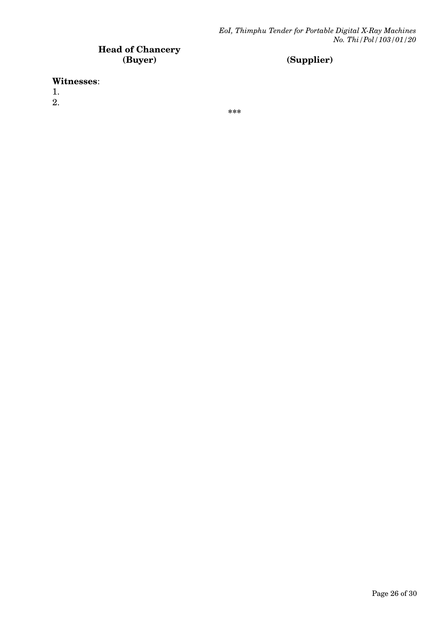# **Head of Chancery**

# **(Buyer) (Supplier)**

#### **Witnesses**:

1.

2.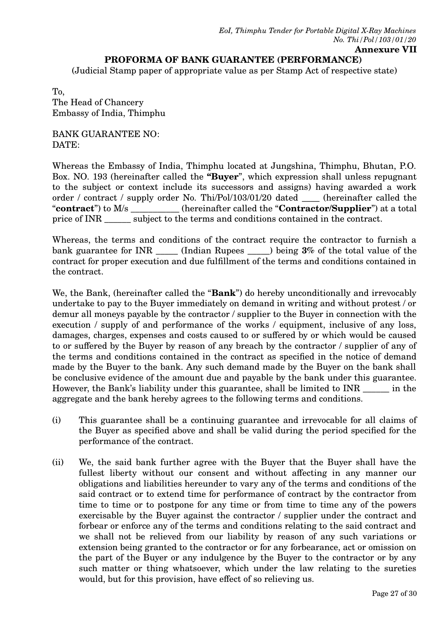#### **PROFORMA OF BANK GUARANTEE (PERFORMANCE)**

(Judicial Stamp paper of appropriate value as per Stamp Act of respective state)

To, The Head of Chancery Embassy of India, Thimphu

BANK GUARANTEE NO: DATE:

Whereas the Embassy of India, Thimphu located at Jungshina, Thimphu, Bhutan, P.O. Box. NO. 193 (hereinafter called the **"Buyer**", which expression shall unless repugnant to the subject or context include its successors and assigns) having awarded a work order / contract / supply order No. Thi/Pol/103/01/20 dated \_\_\_\_ (hereinafter called the "**contract**") to M/s \_\_\_\_\_\_\_\_\_\_\_ (hereinafter called the "**Contractor/Supplier**") at a total price of INR \_\_\_\_\_\_ subject to the terms and conditions contained in the contract.

Whereas, the terms and conditions of the contract require the contractor to furnish a bank guarantee for INR \_\_\_\_\_ (Indian Rupees \_\_\_\_\_) being **3%** of the total value of the contract for proper execution and due fulfillment of the terms and conditions contained in the contract.

We, the Bank, (hereinafter called the "**Bank**") do hereby unconditionally and irrevocably undertake to pay to the Buyer immediately on demand in writing and without protest / or demur all moneys payable by the contractor / supplier to the Buyer in connection with the execution / supply of and performance of the works / equipment, inclusive of any loss, damages, charges, expenses and costs caused to or suffered by or which would be caused to or suffered by the Buyer by reason of any breach by the contractor / supplier of any of the terms and conditions contained in the contract as specified in the notice of demand made by the Buyer to the bank. Any such demand made by the Buyer on the bank shall be conclusive evidence of the amount due and payable by the bank under this guarantee. However, the Bank's liability under this guarantee, shall be limited to INR \_\_\_\_\_\_ in the aggregate and the bank hereby agrees to the following terms and conditions.

- (i) This guarantee shall be a continuing guarantee and irrevocable for all claims of the Buyer as specified above and shall be valid during the period specified for the performance of the contract.
- (ii) We, the said bank further agree with the Buyer that the Buyer shall have the fullest liberty without our consent and without affecting in any manner our obligations and liabilities hereunder to vary any of the terms and conditions of the said contract or to extend time for performance of contract by the contractor from time to time or to postpone for any time or from time to time any of the powers exercisable by the Buyer against the contractor / supplier under the contract and forbear or enforce any of the terms and conditions relating to the said contract and we shall not be relieved from our liability by reason of any such variations or extension being granted to the contractor or for any forbearance, act or omission on the part of the Buyer or any indulgence by the Buyer to the contractor or by any such matter or thing whatsoever, which under the law relating to the sureties would, but for this provision, have effect of so relieving us.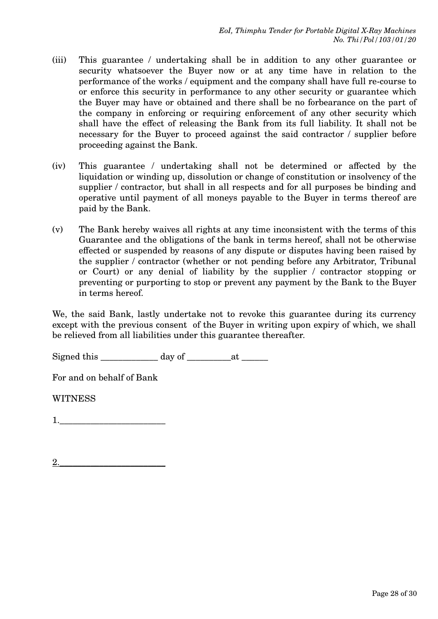- (iii) This guarantee / undertaking shall be in addition to any other guarantee or security whatsoever the Buyer now or at any time have in relation to the performance of the works / equipment and the company shall have full re-course to or enforce this security in performance to any other security or guarantee which the Buyer may have or obtained and there shall be no forbearance on the part of the company in enforcing or requiring enforcement of any other security which shall have the effect of releasing the Bank from its full liability. It shall not be necessary for the Buyer to proceed against the said contractor / supplier before proceeding against the Bank.
- (iv) This guarantee / undertaking shall not be determined or affected by the liquidation or winding up, dissolution or change of constitution or insolvency of the supplier / contractor, but shall in all respects and for all purposes be binding and operative until payment of all moneys payable to the Buyer in terms thereof are paid by the Bank.
- (v) The Bank hereby waives all rights at any time inconsistent with the terms of this Guarantee and the obligations of the bank in terms hereof, shall not be otherwise effected or suspended by reasons of any dispute or disputes having been raised by the supplier / contractor (whether or not pending before any Arbitrator, Tribunal or Court) or any denial of liability by the supplier / contractor stopping or preventing or purporting to stop or prevent any payment by the Bank to the Buyer in terms hereof.

We, the said Bank, lastly undertake not to revoke this guarantee during its currency except with the previous consent of the Buyer in writing upon expiry of which, we shall be relieved from all liabilities under this guarantee thereafter.

Signed this  $\qquad \qquad \text{day of} \qquad \qquad \text{at}$ 

For and on behalf of Bank

**WITNESS**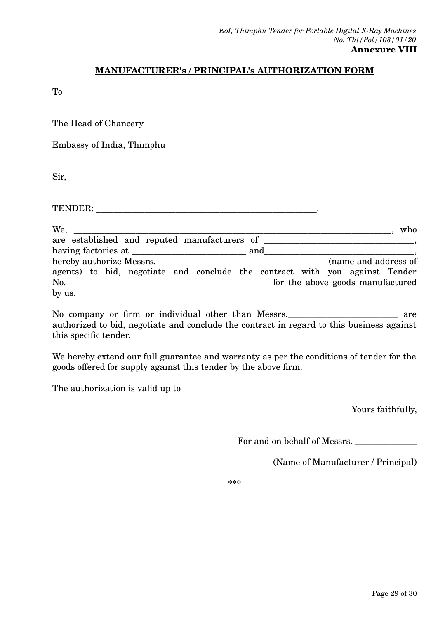# **MANUFACTURER's / PRINCIPAL's AUTHORIZATION FORM**

To

The Head of Chancery

Embassy of India, Thimphu

Sir,

TENDER: \_\_\_\_\_\_\_\_\_\_\_\_\_\_\_\_\_\_\_\_\_\_\_\_\_\_\_\_\_\_\_\_\_\_\_\_\_\_\_\_\_\_\_\_\_\_\_\_\_\_.

We, the setting  $\mathbf{w}$  is the set of  $\mathbf{w}$  is the set of  $\mathbf{w}$  is the set of  $\mathbf{w}$  is the set of  $\mathbf{w}$ are established and reputed manufacturers of \_\_\_\_\_\_\_\_\_\_\_\_\_\_\_\_\_\_\_\_\_\_\_\_\_\_\_\_\_\_\_\_\_\_, having factories at \_\_\_\_\_\_\_\_\_\_\_\_\_\_\_\_\_\_\_\_\_\_\_\_\_\_ and\_\_\_\_\_\_\_\_\_\_\_\_\_\_\_\_\_\_\_\_\_\_\_\_\_\_\_\_\_\_\_\_\_\_, hereby authorize Messrs. agents) to bid, negotiate and conclude the contract with you against Tender No.\_\_\_\_\_\_\_\_\_\_\_\_\_\_\_\_\_\_\_\_\_\_\_\_\_\_\_\_\_\_\_\_\_\_\_\_\_\_\_\_\_\_\_\_\_\_ for the above goods manufactured by us.

No company or firm or individual other than Messrs. The matter of the same area authorized to bid, negotiate and conclude the contract in regard to this business against this specific tender.

We hereby extend our full guarantee and warranty as per the conditions of tender for the goods offered for supply against this tender by the above firm.

The authorization is valid up to \_\_\_\_\_\_\_\_\_\_\_\_\_\_\_\_\_\_\_\_\_\_\_\_\_\_\_\_\_\_\_\_\_\_\_\_\_\_\_\_\_\_\_\_\_\_\_\_\_\_\_\_

Yours faithfully,

For and on behalf of Messrs.

(Name of Manufacturer / Principal)